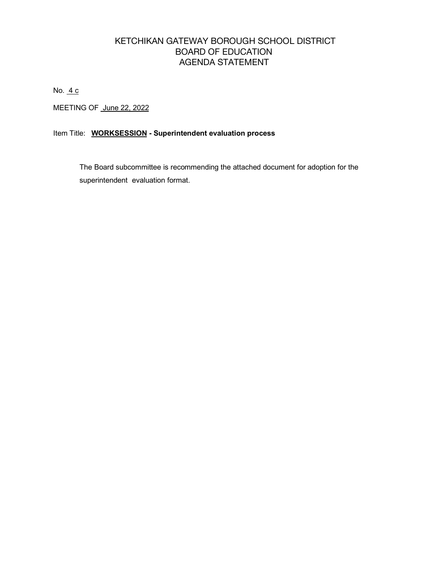#### KETCHIKAN GATEWAY BOROUGH SCHOOL DISTRICT BOARD OF EDUCATION AGENDA STATEMENT

No. 4 c

MEETING OF June 22, 2022

#### Item Title: **WORKSESSION - Superintendent evaluation process**

 The Board subcommittee is recommending the attached document for adoption for the superintendent evaluation format.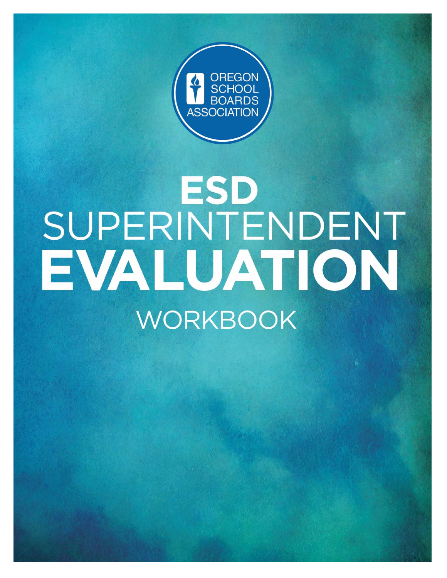

# ESD SUPERINTENDENT EVALUATION **WORKBOOK**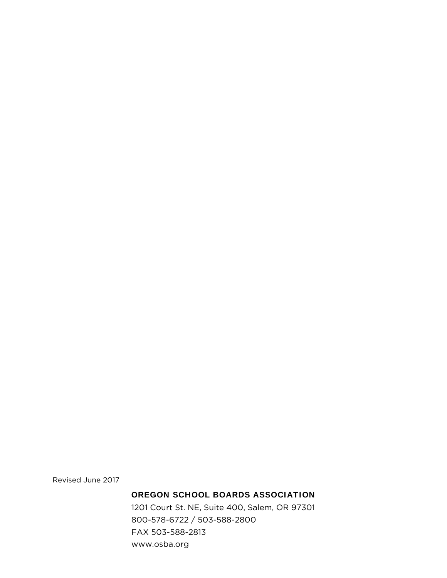Revised June 2017

#### OREGON SCHOOL BOARDS ASSOCIATION

1201 Court St. NE, Suite 400, Salem, OR 97301 800-578-6722 / 503-588-2800 FAX 503-588-2813 www.osba.org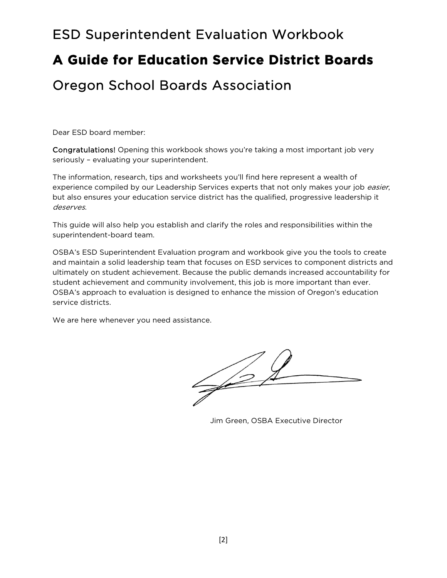# ESD Superintendent Evaluation Workbook **A Guide for Education Service District Boards**  Oregon School Boards Association

Dear ESD board member:

Congratulations! Opening this workbook shows you're taking a most important job very seriously – evaluating your superintendent.

The information, research, tips and worksheets you'll find here represent a wealth of experience compiled by our Leadership Services experts that not only makes your job easier, but also ensures your education service district has the qualified, progressive leadership it deserves.

This guide will also help you establish and clarify the roles and responsibilities within the superintendent-board team.

OSBA's ESD Superintendent Evaluation program and workbook give you the tools to create and maintain a solid leadership team that focuses on ESD services to component districts and ultimately on student achievement. Because the public demands increased accountability for student achievement and community involvement, this job is more important than ever. OSBA's approach to evaluation is designed to enhance the mission of Oregon's education service districts.

We are here whenever you need assistance.

Jim Green, OSBA Executive Director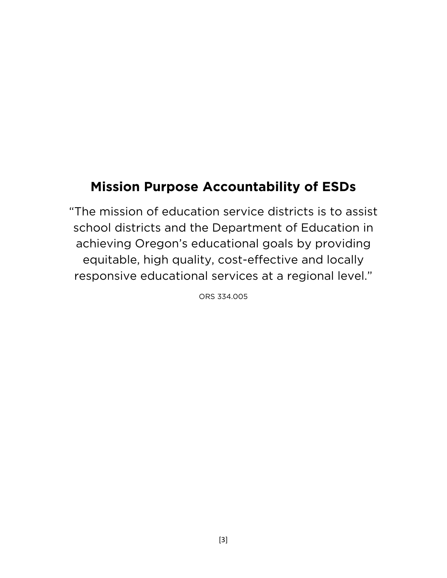### **Mission Purpose Accountability of ESDs**

"The mission of education service districts is to assist school districts and the Department of Education in achieving Oregon's educational goals by providing equitable, high quality, cost-effective and locally responsive educational services at a regional level."

ORS 334.005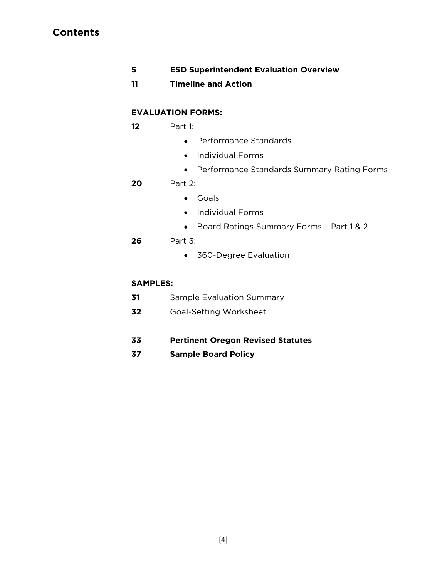#### **Contents**

- **5 ESD Superintendent Evaluation Overview**
- **11 Timeline and Action**

#### **EVALUATION FORMS:**

- **12** Part 1:
	- Performance Standards
	- Individual Forms
	- Performance Standards Summary Rating Forms

#### **20** Part 2:

- Goals
- Individual Forms
- Board Ratings Summary Forms Part 1 & 2

#### **26** Part 3:

360-Degree Evaluation

#### **SAMPLES:**

- **31** Sample Evaluation Summary
- **32** Goal-Setting Worksheet
- **33 Pertinent Oregon Revised Statutes**
- **37 Sample Board Policy**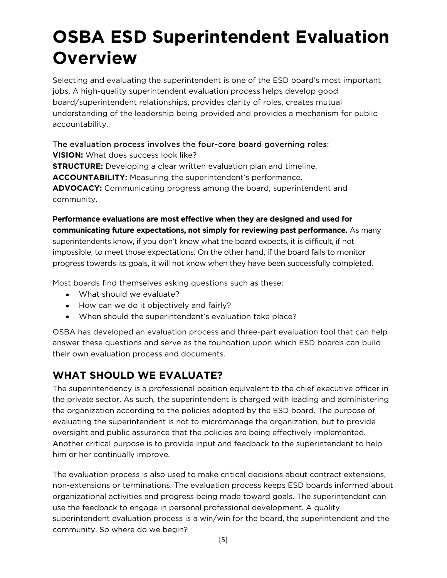# **OSBA ESD Superintendent Evaluation Overview**

Selecting and evaluating the superintendent is one of the ESD board's most important jobs. A high-quality superintendent evaluation process helps develop good board/superintendent relationships, provides clarity of roles, creates mutual understanding of the leadership being provided and provides a mechanism for public accountability.

#### The evaluation process involves the four-core board governing roles: **VISION:** What does success look like?

**STRUCTURE:** Developing a clear written evaluation plan and timeline. **ACCOUNTABILITY:** Measuring the superintendent's performance. **ADVOCACY:** Communicating progress among the board, superintendent and community.

**Performance evaluations are most effective when they are designed and used for communicating future expectations, not simply for reviewing past performance.** As many superintendents know, if you don't know what the board expects, it is difficult, if not impossible, to meet those expectations. On the other hand, if the board fails to monitor progress towards its goals, it will not know when they have been successfully completed.

Most boards find themselves asking questions such as these:

- What should we evaluate?
- How can we do it objectively and fairly?
- When should the superintendent's evaluation take place?

OSBA has developed an evaluation process and three-part evaluation tool that can help answer these questions and serve as the foundation upon which ESD boards can build their own evaluation process and documents.

### **WHAT SHOULD WE EVALUATE?**

The superintendency is a professional position equivalent to the chief executive officer in the private sector. As such, the superintendent is charged with leading and administering the organization according to the policies adopted by the ESD board. The purpose of evaluating the superintendent is not to micromanage the organization, but to provide oversight and public assurance that the policies are being effectively implemented. Another critical purpose is to provide input and feedback to the superintendent to help him or her continually improve.

The evaluation process is also used to make critical decisions about contract extensions, non-extensions or terminations. The evaluation process keeps ESD boards informed about organizational activities and progress being made toward goals. The superintendent can use the feedback to engage in personal professional development. A quality superintendent evaluation process is a win/win for the board, the superintendent and the community. So where do we begin?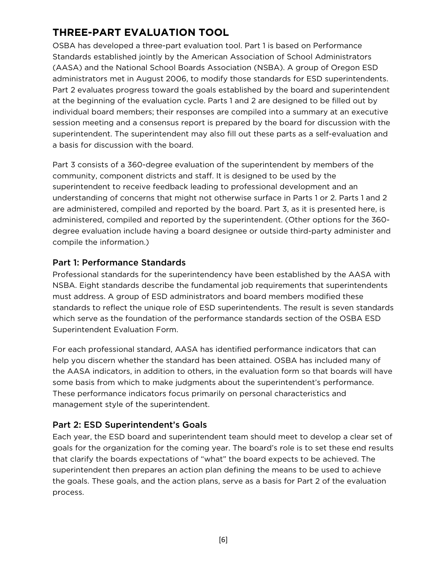### **THREE-PART EVALUATION TOOL**

OSBA has developed a three-part evaluation tool. Part 1 is based on Performance Standards established jointly by the American Association of School Administrators (AASA) and the National School Boards Association (NSBA). A group of Oregon ESD administrators met in August 2006, to modify those standards for ESD superintendents. Part 2 evaluates progress toward the goals established by the board and superintendent at the beginning of the evaluation cycle. Parts 1 and 2 are designed to be filled out by individual board members; their responses are compiled into a summary at an executive session meeting and a consensus report is prepared by the board for discussion with the superintendent. The superintendent may also fill out these parts as a self-evaluation and a basis for discussion with the board.

Part 3 consists of a 360-degree evaluation of the superintendent by members of the community, component districts and staff. It is designed to be used by the superintendent to receive feedback leading to professional development and an understanding of concerns that might not otherwise surface in Parts 1 or 2. Parts 1 and 2 are administered, compiled and reported by the board. Part 3, as it is presented here, is administered, compiled and reported by the superintendent. (Other options for the 360 degree evaluation include having a board designee or outside third-party administer and compile the information.)

#### Part 1: Performance Standards

Professional standards for the superintendency have been established by the AASA with NSBA. Eight standards describe the fundamental job requirements that superintendents must address. A group of ESD administrators and board members modified these standards to reflect the unique role of ESD superintendents. The result is seven standards which serve as the foundation of the performance standards section of the OSBA ESD Superintendent Evaluation Form.

For each professional standard, AASA has identified performance indicators that can help you discern whether the standard has been attained. OSBA has included many of the AASA indicators, in addition to others, in the evaluation form so that boards will have some basis from which to make judgments about the superintendent's performance. These performance indicators focus primarily on personal characteristics and management style of the superintendent.

#### Part 2: ESD Superintendent's Goals

Each year, the ESD board and superintendent team should meet to develop a clear set of goals for the organization for the coming year. The board's role is to set these end results that clarify the boards expectations of "what" the board expects to be achieved. The superintendent then prepares an action plan defining the means to be used to achieve the goals. These goals, and the action plans, serve as a basis for Part 2 of the evaluation process.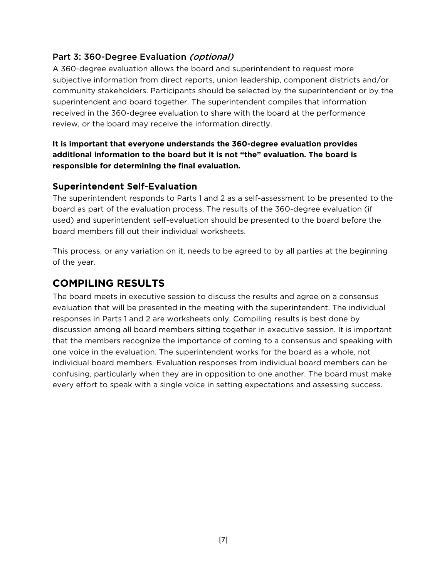#### Part 3: 360-Degree Evaluation (optional)

A 360-degree evaluation allows the board and superintendent to request more subjective information from direct reports, union leadership, component districts and/or community stakeholders. Participants should be selected by the superintendent or by the superintendent and board together. The superintendent compiles that information received in the 360-degree evaluation to share with the board at the performance review, or the board may receive the information directly.

#### **It is important that everyone understands the 360-degree evaluation provides additional information to the board but it is not "the" evaluation. The board is responsible for determining the final evaluation.**

#### Superintendent Self-Evaluation

The superintendent responds to Parts 1 and 2 as a self-assessment to be presented to the board as part of the evaluation process. The results of the 360-degree evaluation (if used) and superintendent self-evaluation should be presented to the board before the board members fill out their individual worksheets.

This process, or any variation on it, needs to be agreed to by all parties at the beginning of the year.

#### **COMPILING RESULTS**

The board meets in executive session to discuss the results and agree on a consensus evaluation that will be presented in the meeting with the superintendent. The individual responses in Parts 1 and 2 are worksheets only. Compiling results is best done by discussion among all board members sitting together in executive session. It is important that the members recognize the importance of coming to a consensus and speaking with one voice in the evaluation. The superintendent works for the board as a whole, not individual board members. Evaluation responses from individual board members can be confusing, particularly when they are in opposition to one another. The board must make every effort to speak with a single voice in setting expectations and assessing success.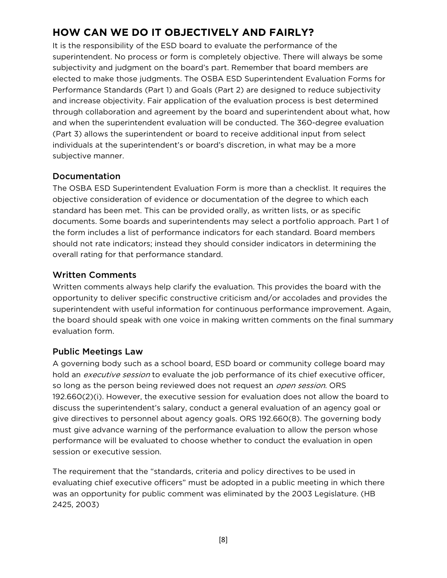### **HOW CAN WE DO IT OBJECTIVELY AND FAIRLY?**

It is the responsibility of the ESD board to evaluate the performance of the superintendent. No process or form is completely objective. There will always be some subjectivity and judgment on the board's part. Remember that board members are elected to make those judgments. The OSBA ESD Superintendent Evaluation Forms for Performance Standards (Part 1) and Goals (Part 2) are designed to reduce subjectivity and increase objectivity. Fair application of the evaluation process is best determined through collaboration and agreement by the board and superintendent about what, how and when the superintendent evaluation will be conducted. The 360-degree evaluation (Part 3) allows the superintendent or board to receive additional input from select individuals at the superintendent's or board's discretion, in what may be a more subjective manner.

#### Documentation

The OSBA ESD Superintendent Evaluation Form is more than a checklist. It requires the objective consideration of evidence or documentation of the degree to which each standard has been met. This can be provided orally, as written lists, or as specific documents. Some boards and superintendents may select a portfolio approach. Part 1 of the form includes a list of performance indicators for each standard. Board members should not rate indicators; instead they should consider indicators in determining the overall rating for that performance standard.

#### Written Comments

Written comments always help clarify the evaluation. This provides the board with the opportunity to deliver specific constructive criticism and/or accolades and provides the superintendent with useful information for continuous performance improvement. Again, the board should speak with one voice in making written comments on the final summary evaluation form.

#### Public Meetings Law

A governing body such as a school board, ESD board or community college board may hold an *executive session* to evaluate the job performance of its chief executive officer, so long as the person being reviewed does not request an *open session*. ORS 192.660(2)(i). However, the executive session for evaluation does not allow the board to discuss the superintendent's salary, conduct a general evaluation of an agency goal or give directives to personnel about agency goals. ORS 192.660(8). The governing body must give advance warning of the performance evaluation to allow the person whose performance will be evaluated to choose whether to conduct the evaluation in open session or executive session.

The requirement that the "standards, criteria and policy directives to be used in evaluating chief executive officers" must be adopted in a public meeting in which there was an opportunity for public comment was eliminated by the 2003 Legislature. (HB 2425, 2003)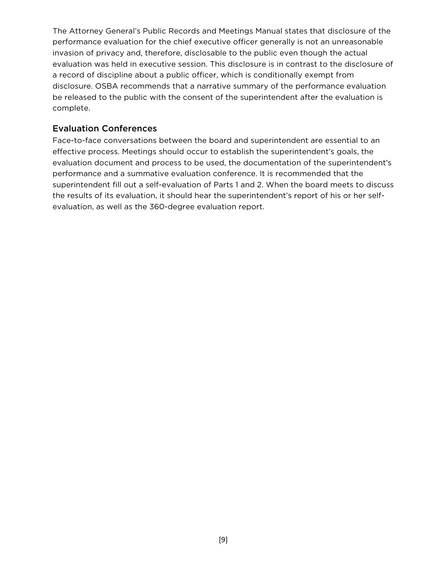The Attorney General's Public Records and Meetings Manual states that disclosure of the performance evaluation for the chief executive officer generally is not an unreasonable invasion of privacy and, therefore, disclosable to the public even though the actual evaluation was held in executive session. This disclosure is in contrast to the disclosure of a record of discipline about a public officer, which is conditionally exempt from disclosure. OSBA recommends that a narrative summary of the performance evaluation be released to the public with the consent of the superintendent after the evaluation is complete.

#### Evaluation Conferences

Face-to-face conversations between the board and superintendent are essential to an effective process. Meetings should occur to establish the superintendent's goals, the evaluation document and process to be used, the documentation of the superintendent's performance and a summative evaluation conference. It is recommended that the superintendent fill out a self-evaluation of Parts 1 and 2. When the board meets to discuss the results of its evaluation, it should hear the superintendent's report of his or her selfevaluation, as well as the 360-degree evaluation report.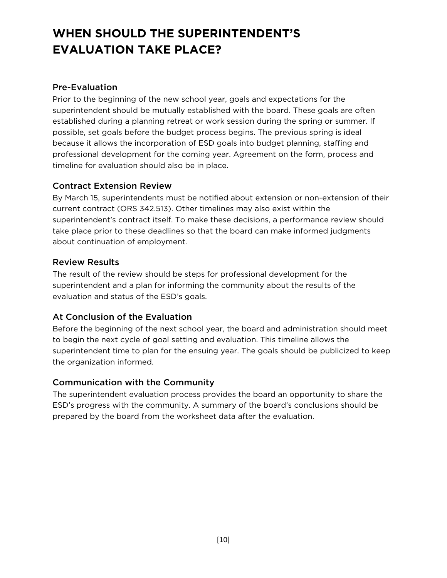### **WHEN SHOULD THE SUPERINTENDENT'S EVALUATION TAKE PLACE?**

#### Pre-Evaluation

Prior to the beginning of the new school year, goals and expectations for the superintendent should be mutually established with the board. These goals are often established during a planning retreat or work session during the spring or summer. If possible, set goals before the budget process begins. The previous spring is ideal because it allows the incorporation of ESD goals into budget planning, staffing and professional development for the coming year. Agreement on the form, process and timeline for evaluation should also be in place.

#### Contract Extension Review

By March 15, superintendents must be notified about extension or non-extension of their current contract (ORS 342.513). Other timelines may also exist within the superintendent's contract itself. To make these decisions, a performance review should take place prior to these deadlines so that the board can make informed judgments about continuation of employment.

#### Review Results

The result of the review should be steps for professional development for the superintendent and a plan for informing the community about the results of the evaluation and status of the ESD's goals.

#### At Conclusion of the Evaluation

Before the beginning of the next school year, the board and administration should meet to begin the next cycle of goal setting and evaluation. This timeline allows the superintendent time to plan for the ensuing year. The goals should be publicized to keep the organization informed.

#### Communication with the Community

The superintendent evaluation process provides the board an opportunity to share the ESD's progress with the community. A summary of the board's conclusions should be prepared by the board from the worksheet data after the evaluation.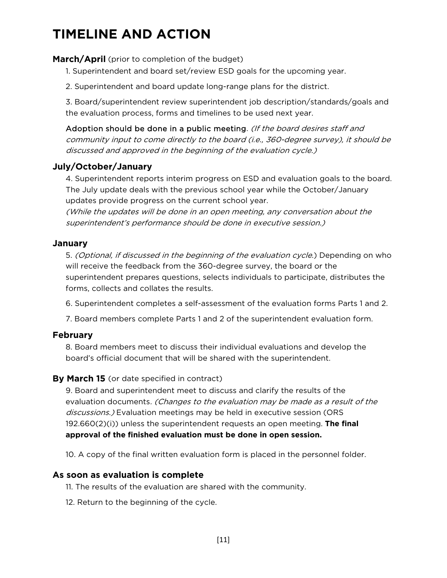### **TIMELINE AND ACTION**

#### **March/April** (prior to completion of the budget)

1. Superintendent and board set/review ESD goals for the upcoming year.

2. Superintendent and board update long-range plans for the district.

3. Board/superintendent review superintendent job description/standards/goals and the evaluation process, forms and timelines to be used next year.

Adoption should be done in a public meeting. (If the board desires staff and community input to come directly to the board (i.e., 360-degree survey), it should be discussed and approved in the beginning of the evaluation cycle.)

#### **July/October/January**

4. Superintendent reports interim progress on ESD and evaluation goals to the board. The July update deals with the previous school year while the October/January updates provide progress on the current school year.

(While the updates will be done in an open meeting, any conversation about the superintendent's performance should be done in executive session.)

#### **January**

5. (Optional, if discussed in the beginning of the evaluation cycle.) Depending on who will receive the feedback from the 360-degree survey, the board or the superintendent prepares questions, selects individuals to participate, distributes the forms, collects and collates the results.

6. Superintendent completes a self-assessment of the evaluation forms Parts 1 and 2.

7. Board members complete Parts 1 and 2 of the superintendent evaluation form.

#### **February**

8. Board members meet to discuss their individual evaluations and develop the board's official document that will be shared with the superintendent.

#### **By March 15** (or date specified in contract)

9. Board and superintendent meet to discuss and clarify the results of the evaluation documents. (Changes to the evaluation may be made as a result of the discussions.) Evaluation meetings may be held in executive session (ORS 192.660(2)(i)) unless the superintendent requests an open meeting. **The final approval of the finished evaluation must be done in open session.**

10. A copy of the final written evaluation form is placed in the personnel folder.

#### **As soon as evaluation is complete**

11. The results of the evaluation are shared with the community.

12. Return to the beginning of the cycle.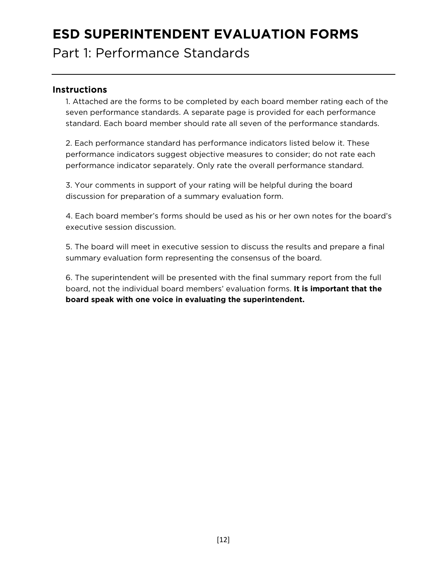### **ESD SUPERINTENDENT EVALUATION FORMS**

Part 1: Performance Standards

#### **Instructions**

1. Attached are the forms to be completed by each board member rating each of the seven performance standards. A separate page is provided for each performance standard. Each board member should rate all seven of the performance standards.

2. Each performance standard has performance indicators listed below it. These performance indicators suggest objective measures to consider; do not rate each performance indicator separately. Only rate the overall performance standard.

3. Your comments in support of your rating will be helpful during the board discussion for preparation of a summary evaluation form.

4. Each board member's forms should be used as his or her own notes for the board's executive session discussion.

5. The board will meet in executive session to discuss the results and prepare a final summary evaluation form representing the consensus of the board.

6. The superintendent will be presented with the final summary report from the full board, not the individual board members' evaluation forms. **It is important that the board speak with one voice in evaluating the superintendent.**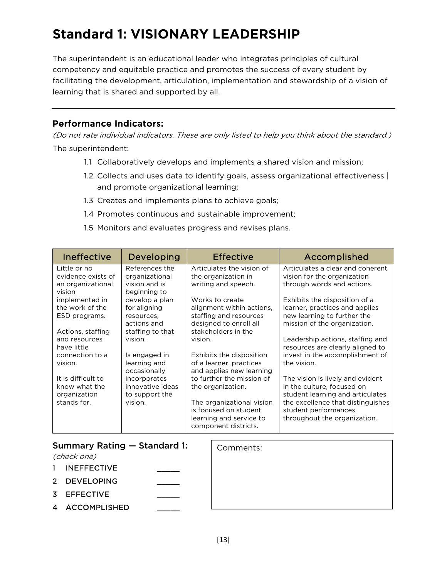# **Standard 1: VISIONARY LEADERSHIP**

The superintendent is an educational leader who integrates principles of cultural competency and equitable practice and promotes the success of every student by facilitating the development, articulation, implementation and stewardship of a vision of learning that is shared and supported by all.

#### Performance Indicators:

- 1.1 Collaboratively develops and implements a shared vision and mission;
- 1.2 Collects and uses data to identify goals, assess organizational effectiveness | and promote organizational learning;
- 1.3 Creates and implements plans to achieve goals;
- 1.4 Promotes continuous and sustainable improvement;
- 1.5 Monitors and evaluates progress and revises plans.

| Ineffective        | Developing       | <b>Effective</b>          | Accomplished                      |
|--------------------|------------------|---------------------------|-----------------------------------|
| Little or no       | References the   | Articulates the vision of | Articulates a clear and coherent  |
| evidence exists of | organizational   | the organization in       | vision for the organization       |
| an organizational  | vision and is    | writing and speech.       | through words and actions.        |
| vision             | beginning to     |                           |                                   |
| implemented in     | develop a plan   | Works to create           | Exhibits the disposition of a     |
| the work of the    | for aligning     | alignment within actions, | learner, practices and applies    |
| ESD programs.      | resources,       | staffing and resources    | new learning to further the       |
|                    | actions and      | designed to enroll all    | mission of the organization.      |
| Actions, staffing  | staffing to that | stakeholders in the       |                                   |
| and resources      | vision.          | vision.                   | Leadership actions, staffing and  |
| have little        |                  |                           | resources are clearly aligned to  |
| connection to a    | Is engaged in    | Exhibits the disposition  | invest in the accomplishment of   |
| vision.            | learning and     | of a learner, practices   | the vision.                       |
|                    | occasionally     | and applies new learning  |                                   |
| It is difficult to | incorporates     | to further the mission of | The vision is lively and evident  |
| know what the      | innovative ideas | the organization.         | in the culture, focused on        |
| organization       | to support the   |                           | student learning and articulates  |
| stands for.        | vision.          | The organizational vision | the excellence that distinguishes |
|                    |                  | is focused on student     | student performances              |
|                    |                  | learning and service to   | throughout the organization.      |
|                    |                  | component districts.      |                                   |

|              | Summary Rating – Standard 1:<br>(check one) | Comments: |
|--------------|---------------------------------------------|-----------|
| $\mathbf{1}$ | <b>INEFFECTIVE</b>                          |           |
|              | 2 DEVELOPING                                |           |
|              | 3 EFFECTIVE                                 |           |
|              | 4 ACCOMPLISHED                              |           |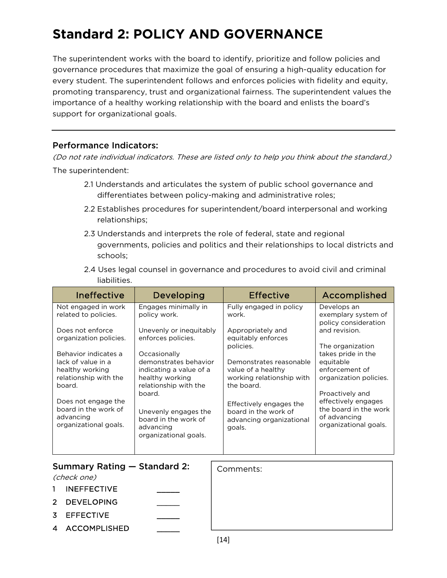# **Standard 2: POLICY AND GOVERNANCE**

The superintendent works with the board to identify, prioritize and follow policies and governance procedures that maximize the goal of ensuring a high-quality education for every student. The superintendent follows and enforces policies with fidelity and equity, promoting transparency, trust and organizational fairness. The superintendent values the importance of a healthy working relationship with the board and enlists the board's support for organizational goals.

#### Performance Indicators:

- 2.1 Understands and articulates the system of public school governance and differentiates between policy-making and administrative roles;
- 2.2 Establishes procedures for superintendent/board interpersonal and working relationships;
- 2.3 Understands and interprets the role of federal, state and regional governments, policies and politics and their relationships to local districts and schools;
- 2.4 Uses legal counsel in governance and procedures to avoid civil and criminal liabilities.

| Ineffective                                                                                      | Developing                                                                                                   | <b>Effective</b>                                                                         | Accomplished                                                                                             |
|--------------------------------------------------------------------------------------------------|--------------------------------------------------------------------------------------------------------------|------------------------------------------------------------------------------------------|----------------------------------------------------------------------------------------------------------|
| Not engaged in work<br>related to policies.                                                      | Engages minimally in<br>policy work.                                                                         | Fully engaged in policy<br>work.                                                         | Develops an<br>exemplary system of<br>policy consideration                                               |
| Does not enforce<br>organization policies.                                                       | Unevenly or inequitably<br>enforces policies.                                                                | Appropriately and<br>equitably enforces<br>policies.                                     | and revision.<br>The organization                                                                        |
| Behavior indicates a<br>lack of value in a<br>healthy working<br>relationship with the<br>board. | Occasionally<br>demonstrates behavior<br>indicating a value of a<br>healthy working<br>relationship with the | Demonstrates reasonable<br>value of a healthy<br>working relationship with<br>the board. | takes pride in the<br>equitable<br>enforcement of<br>organization policies.                              |
| Does not engage the<br>board in the work of<br>advancing<br>organizational goals.                | board.<br>Unevenly engages the<br>board in the work of<br>advancing<br>organizational goals.                 | Effectively engages the<br>board in the work of<br>advancing organizational<br>goals.    | Proactively and<br>effectively engages<br>the board in the work<br>of advancing<br>organizational goals. |

|    | Summary Rating – Standard 2:<br>(check one) | Comments: |
|----|---------------------------------------------|-----------|
| 1. | <b>INEFFECTIVE</b>                          |           |
|    | 2 DEVELOPING                                |           |
|    | 3 EFFECTIVE                                 |           |
|    | 4 ACCOMPLISHED                              |           |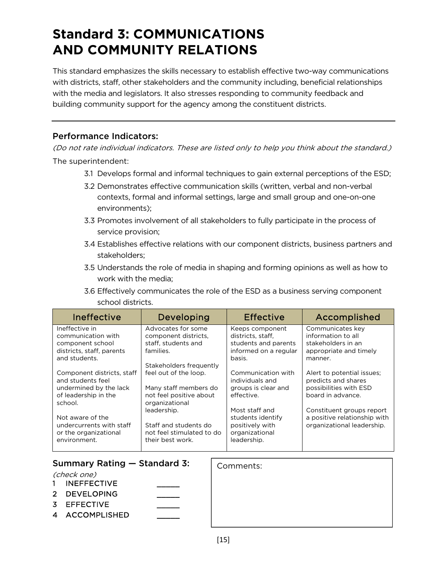### **Standard 3: COMMUNICATIONS AND COMMUNITY RELATIONS**

This standard emphasizes the skills necessary to establish effective two-way communications with districts, staff, other stakeholders and the community including, beneficial relationships with the media and legislators. It also stresses responding to community feedback and building community support for the agency among the constituent districts.

#### Performance Indicators:

- 3.1 Develops formal and informal techniques to gain external perceptions of the ESD;
- 3.2 Demonstrates effective communication skills (written, verbal and non-verbal contexts, formal and informal settings, large and small group and one-on-one environments);
- 3.3 Promotes involvement of all stakeholders to fully participate in the process of service provision;
- 3.4 Establishes effective relations with our component districts, business partners and stakeholders;
- 3.5 Understands the role of media in shaping and forming opinions as well as how to work with the media;
- 3.6 Effectively communicates the role of the ESD as a business serving component school districts.

| Ineffective                                                       | Developing                                                             | <b>Effective</b>                                 | Accomplished                                      |
|-------------------------------------------------------------------|------------------------------------------------------------------------|--------------------------------------------------|---------------------------------------------------|
| Ineffective in                                                    | Advocates for some                                                     | Keeps component                                  | Communicates key                                  |
| communication with                                                | component districts.                                                   | districts, staff,                                | information to all                                |
| component school                                                  | staff, students and                                                    | students and parents                             | stakeholders in an                                |
| districts, staff, parents<br>and students.                        | families.                                                              | informed on a regular<br>basis.                  | appropriate and timely<br>manner.                 |
|                                                                   | Stakeholders frequently                                                |                                                  |                                                   |
| Component districts, staff<br>and students feel                   | feel out of the loop.                                                  | Communication with<br>individuals and            | Alert to potential issues:<br>predicts and shares |
| undermined by the lack<br>of leadership in the                    | Many staff members do<br>not feel positive about                       | groups is clear and<br>effective.                | possibilities with ESD<br>board in advance.       |
| school.                                                           | organizational                                                         |                                                  |                                                   |
|                                                                   | leadership.                                                            | Most staff and                                   | Constituent groups report                         |
| Not aware of the                                                  |                                                                        | students identify                                | a positive relationship with                      |
| undercurrents with staff<br>or the organizational<br>environment. | Staff and students do<br>not feel stimulated to do<br>their best work. | positively with<br>organizational<br>leadership. | organizational leadership.                        |

| Summary Rating – Standard 3:<br>(check one)               | Comments: |
|-----------------------------------------------------------|-----------|
| <b>INEFFECTIVE</b><br><b>DEVELOPING</b><br>$\overline{2}$ |           |
| <b>FFFECTIVE</b><br>3.<br>ACCOMPLISHED<br>$\mathbf 4$     |           |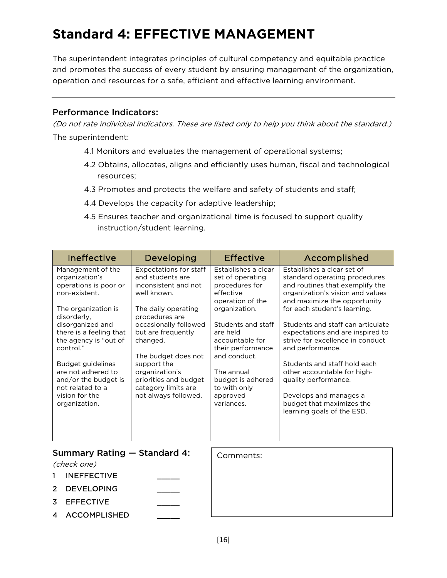# **Standard 4: EFFECTIVE MANAGEMENT**

The superintendent integrates principles of cultural competency and equitable practice and promotes the success of every student by ensuring management of the organization, operation and resources for a safe, efficient and effective learning environment.

#### Performance Indicators:

- 4.1 Monitors and evaluates the management of operational systems;
- 4.2 Obtains, allocates, aligns and efficiently uses human, fiscal and technological resources;
- 4.3 Promotes and protects the welfare and safety of students and staff;
- 4.4 Develops the capacity for adaptive leadership;
- 4.5 Ensures teacher and organizational time is focused to support quality instruction/student learning.

| Ineffective                                                                                                                                                                                                                                                                                                                        | Developing                                                                                                                                                                                                                                                                                                                   | <b>Effective</b>                                                                                                                                                                                                                                                                   | Accomplished                                                                                                                                                                                                                                                                                                                                                                                                                                                                                                    |
|------------------------------------------------------------------------------------------------------------------------------------------------------------------------------------------------------------------------------------------------------------------------------------------------------------------------------------|------------------------------------------------------------------------------------------------------------------------------------------------------------------------------------------------------------------------------------------------------------------------------------------------------------------------------|------------------------------------------------------------------------------------------------------------------------------------------------------------------------------------------------------------------------------------------------------------------------------------|-----------------------------------------------------------------------------------------------------------------------------------------------------------------------------------------------------------------------------------------------------------------------------------------------------------------------------------------------------------------------------------------------------------------------------------------------------------------------------------------------------------------|
| Management of the<br>organization's<br>operations is poor or<br>non-existent.<br>The organization is<br>disorderly,<br>disorganized and<br>there is a feeling that<br>the agency is "out of<br>control."<br>Budget guidelines<br>are not adhered to<br>and/or the budget is<br>not related to a<br>vision for the<br>organization. | <b>Expectations for staff</b><br>and students are<br>inconsistent and not<br>well known.<br>The daily operating<br>procedures are<br>occasionally followed<br>but are frequently<br>changed.<br>The budget does not<br>support the<br>organization's<br>priorities and budget<br>category limits are<br>not always followed. | Establishes a clear<br>set of operating<br>procedures for<br>effective<br>operation of the<br>organization.<br>Students and staff<br>are held<br>accountable for<br>their performance<br>and conduct.<br>The annual<br>budget is adhered<br>to with only<br>approved<br>variances. | Establishes a clear set of<br>standard operating procedures<br>and routines that exemplify the<br>organization's vision and values<br>and maximize the opportunity<br>for each student's learning.<br>Students and staff can articulate<br>expectations and are inspired to<br>strive for excellence in conduct<br>and performance.<br>Students and staff hold each<br>other accountable for high-<br>quality performance.<br>Develops and manages a<br>budget that maximizes the<br>learning goals of the ESD. |
| Summary Rating - Standard 4:<br>(check one)                                                                                                                                                                                                                                                                                        |                                                                                                                                                                                                                                                                                                                              | Comments:                                                                                                                                                                                                                                                                          |                                                                                                                                                                                                                                                                                                                                                                                                                                                                                                                 |
| <b>INEFFECTIVE</b><br>1                                                                                                                                                                                                                                                                                                            |                                                                                                                                                                                                                                                                                                                              |                                                                                                                                                                                                                                                                                    |                                                                                                                                                                                                                                                                                                                                                                                                                                                                                                                 |
| 2<br><b>DEVELOPING</b>                                                                                                                                                                                                                                                                                                             |                                                                                                                                                                                                                                                                                                                              |                                                                                                                                                                                                                                                                                    |                                                                                                                                                                                                                                                                                                                                                                                                                                                                                                                 |
| <b>EFFECTIVE</b><br>3                                                                                                                                                                                                                                                                                                              |                                                                                                                                                                                                                                                                                                                              |                                                                                                                                                                                                                                                                                    |                                                                                                                                                                                                                                                                                                                                                                                                                                                                                                                 |
| <b>ACCOMPLISHED</b><br>4                                                                                                                                                                                                                                                                                                           |                                                                                                                                                                                                                                                                                                                              |                                                                                                                                                                                                                                                                                    |                                                                                                                                                                                                                                                                                                                                                                                                                                                                                                                 |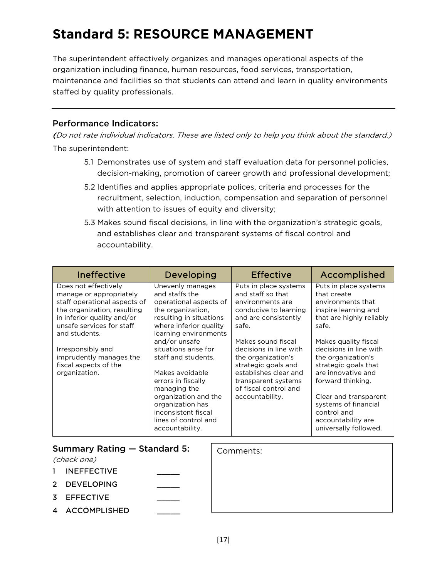# **Standard 5: RESOURCE MANAGEMENT**

The superintendent effectively organizes and manages operational aspects of the organization including finance, human resources, food services, transportation, maintenance and facilities so that students can attend and learn in quality environments staffed by quality professionals.

#### Performance Indicators:

- 5.1 Demonstrates use of system and staff evaluation data for personnel policies, decision-making, promotion of career growth and professional development;
- 5.2 Identifies and applies appropriate polices, criteria and processes for the recruitment, selection, induction, compensation and separation of personnel with attention to issues of equity and diversity;
- 5.3 Makes sound fiscal decisions, in line with the organization's strategic goals, and establishes clear and transparent systems of fiscal control and accountability.

| Ineffective                                                                                                                                                                                                                                                                          | Developing                                                                                                                                                                                                                                                               | <b>Effective</b>                                                                                                                                                                                                                                                      | Accomplished                                                                                                                                                                                                                                                      |
|--------------------------------------------------------------------------------------------------------------------------------------------------------------------------------------------------------------------------------------------------------------------------------------|--------------------------------------------------------------------------------------------------------------------------------------------------------------------------------------------------------------------------------------------------------------------------|-----------------------------------------------------------------------------------------------------------------------------------------------------------------------------------------------------------------------------------------------------------------------|-------------------------------------------------------------------------------------------------------------------------------------------------------------------------------------------------------------------------------------------------------------------|
| Does not effectively<br>manage or appropriately<br>staff operational aspects of<br>the organization, resulting<br>in inferior quality and/or<br>unsafe services for staff<br>and students.<br>Irresponsibly and<br>imprudently manages the<br>fiscal aspects of the<br>organization. | Unevenly manages<br>and staffs the<br>operational aspects of<br>the organization,<br>resulting in situations<br>where inferior quality<br>learning environments<br>and/or unsafe<br>situations arise for<br>staff and students.<br>Makes avoidable<br>errors in fiscally | Puts in place systems<br>and staff so that<br>environments are<br>conducive to learning<br>and are consistently<br>safe.<br>Makes sound fiscal<br>decisions in line with<br>the organization's<br>strategic goals and<br>establishes clear and<br>transparent systems | Puts in place systems<br>that create<br>environments that<br>inspire learning and<br>that are highly reliably<br>safe.<br>Makes quality fiscal<br>decisions in line with<br>the organization's<br>strategic goals that<br>are innovative and<br>forward thinking. |
|                                                                                                                                                                                                                                                                                      | managing the<br>organization and the<br>organization has<br>inconsistent fiscal<br>lines of control and<br>accountability.                                                                                                                                               | of fiscal control and<br>accountability.                                                                                                                                                                                                                              | Clear and transparent<br>systems of financial<br>control and<br>accountability are<br>universally followed.                                                                                                                                                       |

|              | Summary Rating - Standard 5:<br>(check one) | Comments: |
|--------------|---------------------------------------------|-----------|
| $\mathbf{1}$ | <b>INEFFECTIVE</b>                          |           |
|              | 2 DEVELOPING                                |           |
|              | 3 EFFECTIVE                                 |           |
|              | 4 ACCOMPLISHED                              |           |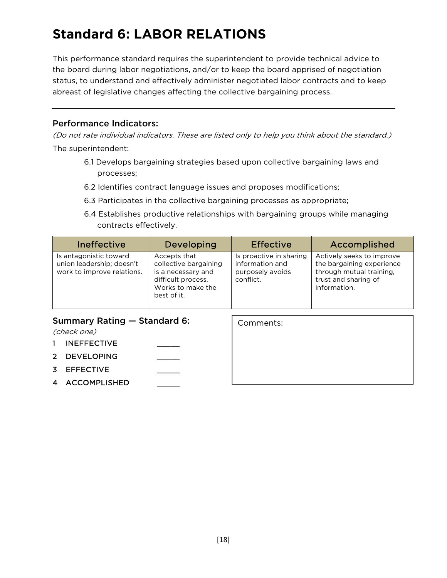# **Standard 6: LABOR RELATIONS**

This performance standard requires the superintendent to provide technical advice to the board during labor negotiations, and/or to keep the board apprised of negotiation status, to understand and effectively administer negotiated labor contracts and to keep abreast of legislative changes affecting the collective bargaining process.

#### Performance Indicators:

(Do not rate individual indicators. These are listed only to help you think about the standard.) The superintendent:

- 6.1 Develops bargaining strategies based upon collective bargaining laws and processes;
- 6.2 Identifies contract language issues and proposes modifications;
- 6.3 Participates in the collective bargaining processes as appropriate;
- 6.4 Establishes productive relationships with bargaining groups while managing contracts effectively.

| <b>Ineffective</b>                                                                | Developing                                                                                                            | <b>Effective</b>                                                            | Accomplished                                                                                                               |
|-----------------------------------------------------------------------------------|-----------------------------------------------------------------------------------------------------------------------|-----------------------------------------------------------------------------|----------------------------------------------------------------------------------------------------------------------------|
| Is antagonistic toward<br>union leadership; doesn't<br>work to improve relations. | Accepts that<br>collective bargaining<br>is a necessary and<br>difficult process.<br>Works to make the<br>best of it. | Is proactive in sharing<br>information and<br>purposely avoids<br>conflict. | Actively seeks to improve<br>the bargaining experience<br>through mutual training,<br>trust and sharing of<br>information. |

Comments:

#### Summary Rating — Standard 6:

(check one)

- 1 INEFFECTIVE
- 2 DEVELOPING
- 3 EFFECTIVE
- 4 ACCOMPLISHED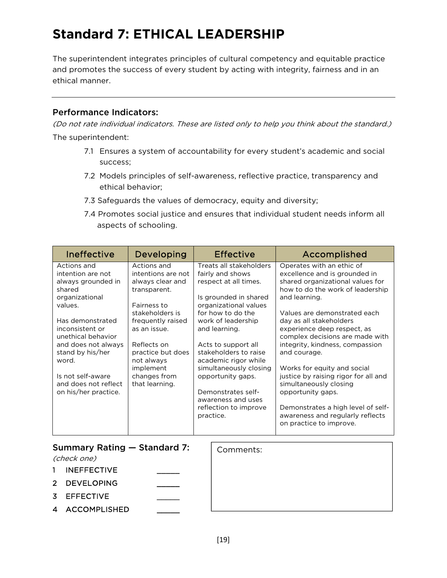# **Standard 7: ETHICAL LEADERSHIP**

The superintendent integrates principles of cultural competency and equitable practice and promotes the success of every student by acting with integrity, fairness and in an ethical manner.

#### Performance Indicators:

- 7.1 Ensures a system of accountability for every student's academic and social success;
- 7.2 Models principles of self-awareness, reflective practice, transparency and ethical behavior;
- 7.3 Safeguards the values of democracy, equity and diversity;
- 7.4 Promotes social justice and ensures that individual student needs inform all aspects of schooling.

| Ineffective                                                                                                                                                                                                                                                                         | Developing                                                                                                                                                                                                                                    |                                                                                                                                                                                                                                                                                                                                                                                             | <b>Effective</b> | Accomplished                                                                                                                                                                                                                                                                                                                                                                                                                                                                                                                                                   |
|-------------------------------------------------------------------------------------------------------------------------------------------------------------------------------------------------------------------------------------------------------------------------------------|-----------------------------------------------------------------------------------------------------------------------------------------------------------------------------------------------------------------------------------------------|---------------------------------------------------------------------------------------------------------------------------------------------------------------------------------------------------------------------------------------------------------------------------------------------------------------------------------------------------------------------------------------------|------------------|----------------------------------------------------------------------------------------------------------------------------------------------------------------------------------------------------------------------------------------------------------------------------------------------------------------------------------------------------------------------------------------------------------------------------------------------------------------------------------------------------------------------------------------------------------------|
| Actions and<br>intention are not<br>always grounded in<br>shared<br>organizational<br>values.<br>Has demonstrated<br>inconsistent or<br>unethical behavior<br>and does not always<br>stand by his/her<br>word.<br>Is not self-aware<br>and does not reflect<br>on his/her practice. | Actions and<br>intentions are not<br>always clear and<br>transparent.<br>Fairness to<br>stakeholders is<br>frequently raised<br>as an issue.<br>Reflects on<br>practice but does<br>not always<br>implement<br>changes from<br>that learning. | Treats all stakeholders<br>fairly and shows<br>respect at all times.<br>Is grounded in shared<br>organizational values<br>for how to do the<br>work of leadership<br>and learning.<br>Acts to support all<br>stakeholders to raise<br>academic rigor while<br>simultaneously closing<br>opportunity gaps.<br>Demonstrates self-<br>awareness and uses<br>reflection to improve<br>practice. |                  | Operates with an ethic of<br>excellence and is grounded in<br>shared organizational values for<br>how to do the work of leadership<br>and learning.<br>Values are demonstrated each<br>day as all stakeholders<br>experience deep respect, as<br>complex decisions are made with<br>integrity, kindness, compassion<br>and courage.<br>Works for equity and social<br>justice by raising rigor for all and<br>simultaneously closing<br>opportunity gaps.<br>Demonstrates a high level of self-<br>awareness and regularly reflects<br>on practice to improve. |
| Summary Rating - Standard 7:<br>(check one)<br><b>INEFFECTIVE</b><br>1                                                                                                                                                                                                              |                                                                                                                                                                                                                                               |                                                                                                                                                                                                                                                                                                                                                                                             | Comments:        |                                                                                                                                                                                                                                                                                                                                                                                                                                                                                                                                                                |
| $\overline{2}$<br><b>DEVELOPING</b><br><b>EFFECTIVE</b><br>3<br><b>ACCOMPLISHED</b><br>4                                                                                                                                                                                            |                                                                                                                                                                                                                                               |                                                                                                                                                                                                                                                                                                                                                                                             |                  |                                                                                                                                                                                                                                                                                                                                                                                                                                                                                                                                                                |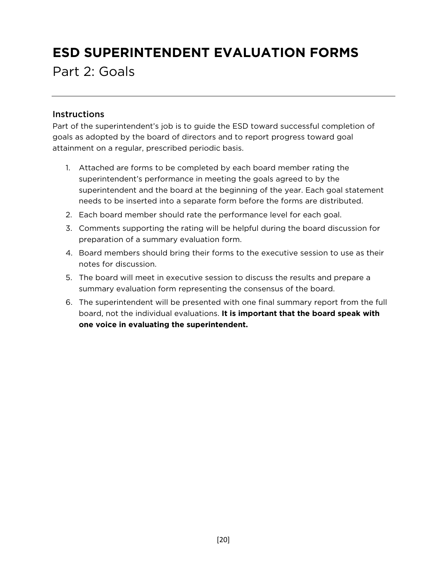# **ESD SUPERINTENDENT EVALUATION FORMS**

Part 2: Goals

#### **Instructions**

Part of the superintendent's job is to guide the ESD toward successful completion of goals as adopted by the board of directors and to report progress toward goal attainment on a regular, prescribed periodic basis.

- 1. Attached are forms to be completed by each board member rating the superintendent's performance in meeting the goals agreed to by the superintendent and the board at the beginning of the year. Each goal statement needs to be inserted into a separate form before the forms are distributed.
- 2. Each board member should rate the performance level for each goal.
- 3. Comments supporting the rating will be helpful during the board discussion for preparation of a summary evaluation form.
- 4. Board members should bring their forms to the executive session to use as their notes for discussion.
- 5. The board will meet in executive session to discuss the results and prepare a summary evaluation form representing the consensus of the board.
- 6. The superintendent will be presented with one final summary report from the full board, not the individual evaluations. **It is important that the board speak with one voice in evaluating the superintendent.**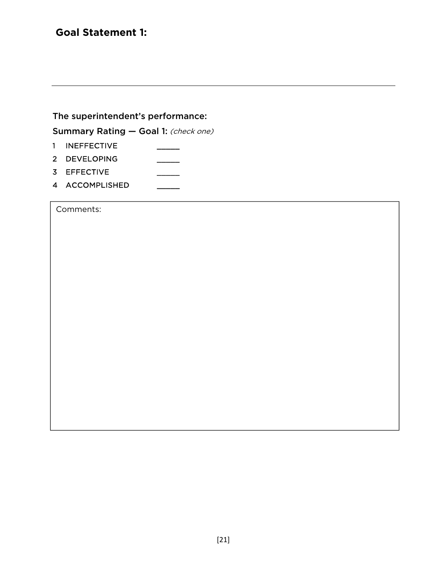#### **Goal Statement 1:**

The superintendent's performance:

Summary Rating - Goal 1: (check one)

- 1 INEFFECTIVE
- 2 DEVELOPING
- 3 EFFECTIVE \_\_\_\_\_\_\_\_\_
- 4 ACCOMPLISHED

Comments: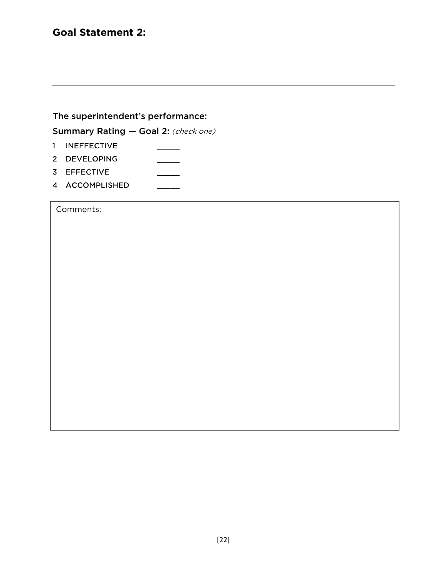#### **Goal Statement 2:**

The superintendent's performance:

Summary Rating - Goal 2: (check one)

- 1 INEFFECTIVE
- 2 DEVELOPING
- 3 EFFECTIVE \_\_\_\_\_\_\_\_\_
- 4 ACCOMPLISHED

Comments: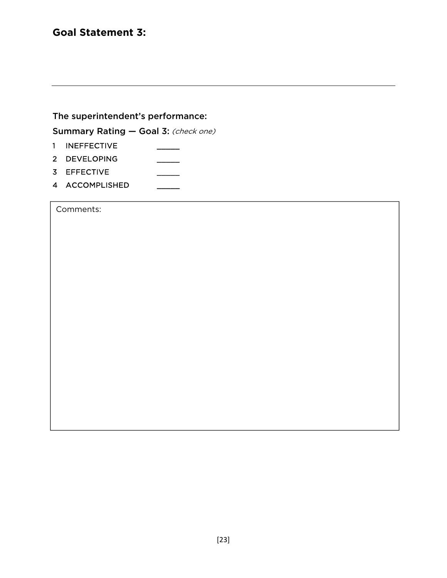#### **Goal Statement 3:**

The superintendent's performance:

Summary Rating - Goal 3: (check one)

- 1 INEFFECTIVE
- 2 DEVELOPING
- 3 EFFECTIVE \_\_\_\_\_\_\_\_\_
- 4 ACCOMPLISHED

Comments: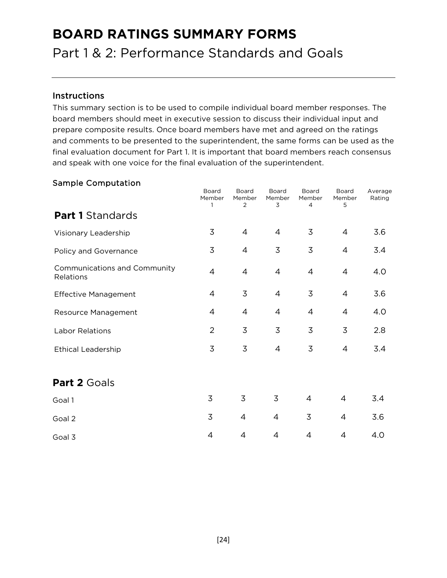### **BOARD RATINGS SUMMARY FORMS**

Part 1 & 2: Performance Standards and Goals

#### Instructions

This summary section is to be used to compile individual board member responses. The board members should meet in executive session to discuss their individual input and prepare composite results. Once board members have met and agreed on the ratings and comments to be presented to the superintendent, the same forms can be used as the final evaluation document for Part 1. It is important that board members reach consensus and speak with one voice for the final evaluation of the superintendent.

#### Sample Computation

|                                           | Board<br>Member | Board<br>Member<br>2 | Board<br>Member<br>3 | Board<br>Member<br>4 | Board<br>Member<br>5 | Average<br>Rating |
|-------------------------------------------|-----------------|----------------------|----------------------|----------------------|----------------------|-------------------|
| <b>Part 1 Standards</b>                   |                 |                      |                      |                      |                      |                   |
| Visionary Leadership                      | 3               | $\overline{4}$       | $\overline{4}$       | 3                    | $\overline{4}$       | 3.6               |
| Policy and Governance                     | $\overline{3}$  | $\overline{4}$       | 3                    | $\overline{3}$       | $\overline{4}$       | 3.4               |
| Communications and Community<br>Relations | $\overline{4}$  | $\overline{4}$       | $\overline{4}$       | $\overline{4}$       | $\overline{4}$       | 4.0               |
| <b>Effective Management</b>               | $\overline{4}$  | $\overline{3}$       | $\overline{4}$       | $\overline{3}$       | $\overline{4}$       | 3.6               |
| Resource Management                       | $\overline{4}$  | $\overline{4}$       | $\overline{4}$       | $\overline{4}$       | $\overline{4}$       | 4.0               |
| Labor Relations                           | $\overline{2}$  | $\overline{3}$       | 3                    | $\overline{3}$       | 3                    | 2.8               |
| <b>Ethical Leadership</b>                 | $\overline{3}$  | 3                    | $\overline{4}$       | 3                    | $\overline{4}$       | 3.4               |
| Part 2 Goals                              |                 |                      |                      |                      |                      |                   |
| Goal 1                                    | $\overline{3}$  | 3                    | 3                    | $\overline{4}$       | $\overline{4}$       | 3.4               |
| Goal 2                                    | 3               | 4                    | $\overline{4}$       | $\overline{3}$       | 4                    | 3.6               |
| Goal 3                                    | 4               | 4                    | $\overline{4}$       | $\overline{4}$       | 4                    | 4.0               |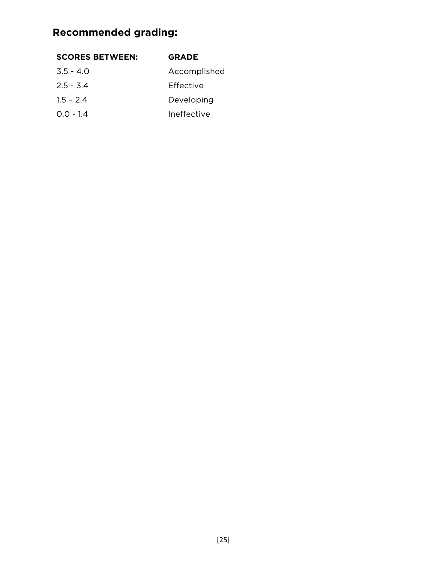### **Recommended grading:**

#### **SCORES BETWEEN: GRADE**

| $3.5 - 4.0$ | Accomplished |  |
|-------------|--------------|--|
| $2.5 - 3.4$ | Effective    |  |
| $1.5 - 2.4$ | Developing   |  |
| $0.0 - 1.4$ | Ineffective  |  |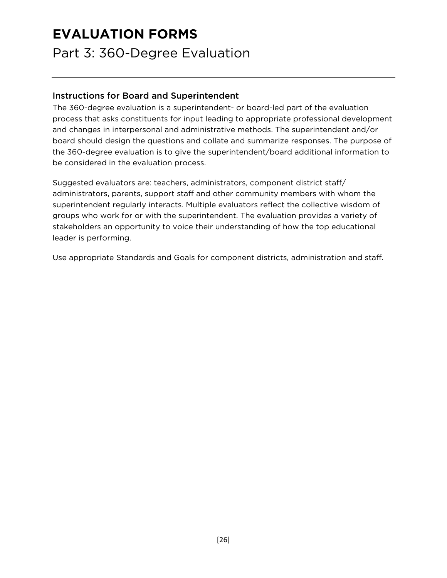### **EVALUATION FORMS**

Part 3: 360-Degree Evaluation

#### Instructions for Board and Superintendent

The 360-degree evaluation is a superintendent- or board-led part of the evaluation process that asks constituents for input leading to appropriate professional development and changes in interpersonal and administrative methods. The superintendent and/or board should design the questions and collate and summarize responses. The purpose of the 360-degree evaluation is to give the superintendent/board additional information to be considered in the evaluation process.

Suggested evaluators are: teachers, administrators, component district staff/ administrators, parents, support staff and other community members with whom the superintendent regularly interacts. Multiple evaluators reflect the collective wisdom of groups who work for or with the superintendent. The evaluation provides a variety of stakeholders an opportunity to voice their understanding of how the top educational leader is performing.

Use appropriate Standards and Goals for component districts, administration and staff.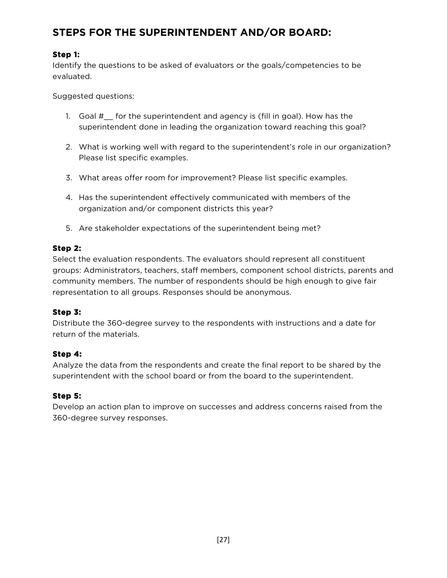### **STEPS FOR THE SUPERINTENDENT AND/OR BOARD:**

#### **Step 1:**

Identify the questions to be asked of evaluators or the goals/competencies to be evaluated.

Suggested questions:

- 1. Goal #\_\_ for the superintendent and agency is (fill in goal). How has the superintendent done in leading the organization toward reaching this goal?
- 2. What is working well with regard to the superintendent's role in our organization? Please list specific examples.
- 3. What areas offer room for improvement? Please list specific examples.
- 4. Has the superintendent effectively communicated with members of the organization and/or component districts this year?
- 5. Are stakeholder expectations of the superintendent being met?

#### **Step 2:**

Select the evaluation respondents. The evaluators should represent all constituent groups: Administrators, teachers, staff members, component school districts, parents and community members. The number of respondents should be high enough to give fair representation to all groups. Responses should be anonymous.

#### **Step 3:**

Distribute the 360-degree survey to the respondents with instructions and a date for return of the materials.

#### **Step 4:**

Analyze the data from the respondents and create the final report to be shared by the superintendent with the school board or from the board to the superintendent.

#### **Step 5:**

Develop an action plan to improve on successes and address concerns raised from the 360-degree survey responses.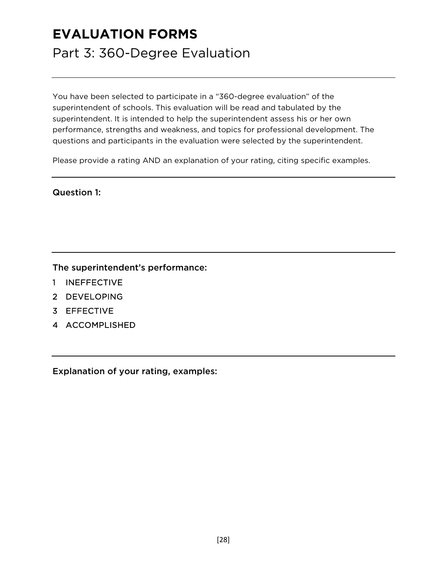### **EVALUATION FORMS**

### Part 3: 360-Degree Evaluation

You have been selected to participate in a "360-degree evaluation" of the superintendent of schools. This evaluation will be read and tabulated by the superintendent. It is intended to help the superintendent assess his or her own performance, strengths and weakness, and topics for professional development. The questions and participants in the evaluation were selected by the superintendent.

Please provide a rating AND an explanation of your rating, citing specific examples.

#### Question 1:

The superintendent's performance:

- 1 INEFFECTIVE
- 2 DEVELOPING
- 3 EFFECTIVE
- 4 ACCOMPLISHED

Explanation of your rating, examples: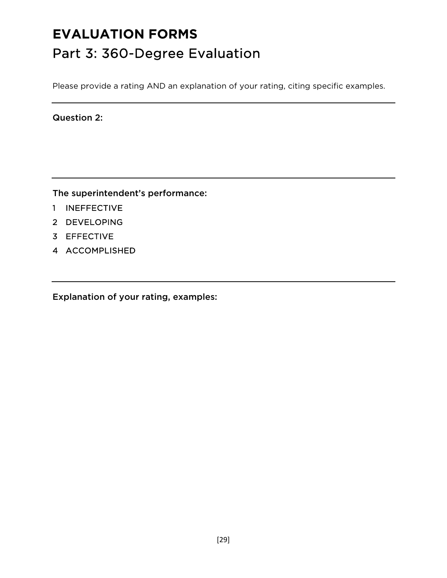# **EVALUATION FORMS** Part 3: 360-Degree Evaluation

Please provide a rating AND an explanation of your rating, citing specific examples.

Question 2:

The superintendent's performance:

- 1 INEFFECTIVE
- 2 DEVELOPING
- 3 EFFECTIVE
- 4 ACCOMPLISHED

Explanation of your rating, examples: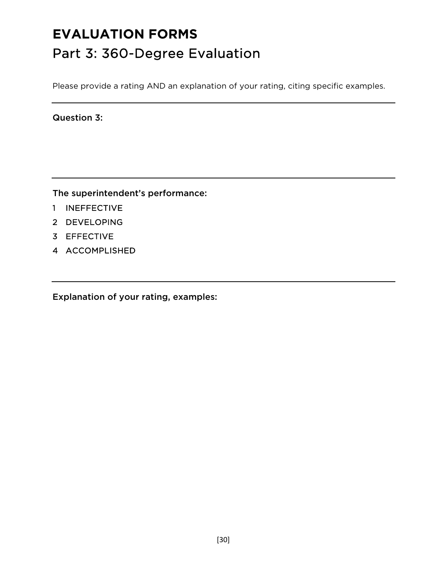# **EVALUATION FORMS** Part 3: 360-Degree Evaluation

Please provide a rating AND an explanation of your rating, citing specific examples.

Question 3:

The superintendent's performance:

- 1 INEFFECTIVE
- 2 DEVELOPING
- 3 EFFECTIVE
- 4 ACCOMPLISHED

Explanation of your rating, examples: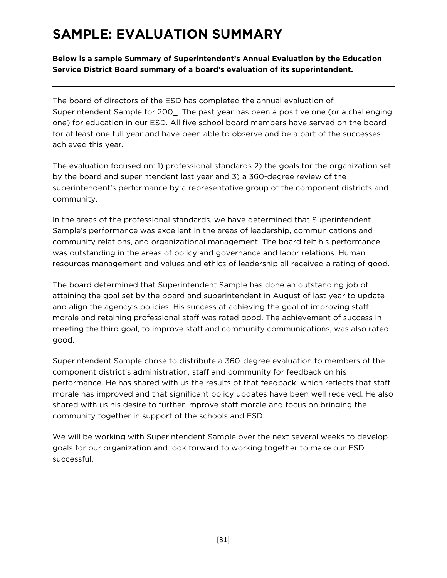### **SAMPLE: EVALUATION SUMMARY**

**Below is a sample Summary of Superintendent's Annual Evaluation by the Education Service District Board summary of a board's evaluation of its superintendent.** 

The board of directors of the ESD has completed the annual evaluation of Superintendent Sample for 200\_. The past year has been a positive one (or a challenging one) for education in our ESD. All five school board members have served on the board for at least one full year and have been able to observe and be a part of the successes achieved this year.

The evaluation focused on: 1) professional standards 2) the goals for the organization set by the board and superintendent last year and 3) a 360-degree review of the superintendent's performance by a representative group of the component districts and community.

In the areas of the professional standards, we have determined that Superintendent Sample's performance was excellent in the areas of leadership, communications and community relations, and organizational management. The board felt his performance was outstanding in the areas of policy and governance and labor relations. Human resources management and values and ethics of leadership all received a rating of good.

The board determined that Superintendent Sample has done an outstanding job of attaining the goal set by the board and superintendent in August of last year to update and align the agency's policies. His success at achieving the goal of improving staff morale and retaining professional staff was rated good. The achievement of success in meeting the third goal, to improve staff and community communications, was also rated good.

Superintendent Sample chose to distribute a 360-degree evaluation to members of the component district's administration, staff and community for feedback on his performance. He has shared with us the results of that feedback, which reflects that staff morale has improved and that significant policy updates have been well received. He also shared with us his desire to further improve staff morale and focus on bringing the community together in support of the schools and ESD.

We will be working with Superintendent Sample over the next several weeks to develop goals for our organization and look forward to working together to make our ESD successful.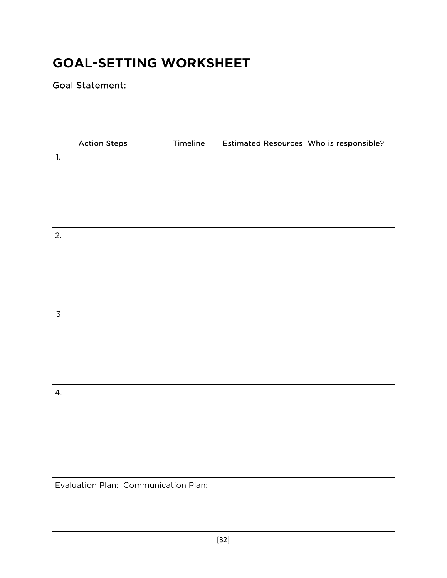### **GOAL-SETTING WORKSHEET**

Goal Statement:

| $1.$           | <b>Action Steps</b> | Timeline | Estimated Resources Who is responsible? |  |
|----------------|---------------------|----------|-----------------------------------------|--|
|                |                     |          |                                         |  |
|                |                     |          |                                         |  |
| 2.             |                     |          |                                         |  |
|                |                     |          |                                         |  |
|                |                     |          |                                         |  |
| $\overline{3}$ |                     |          |                                         |  |
|                |                     |          |                                         |  |
|                |                     |          |                                         |  |
| 4.             |                     |          |                                         |  |
|                |                     |          |                                         |  |
|                |                     |          |                                         |  |

Evaluation Plan: Communication Plan: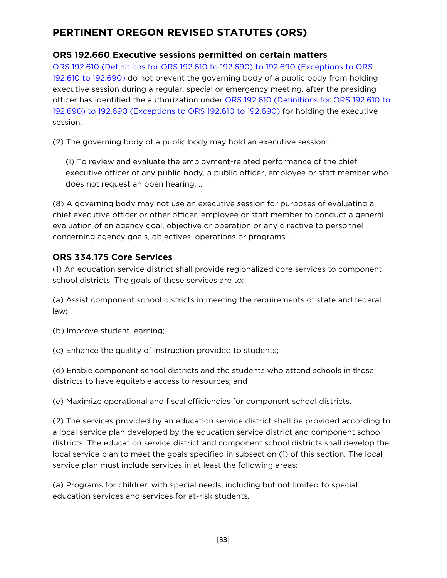### **PERTINENT OREGON REVISED STATUTES (ORS)**

#### **ORS 192.660 Executive sessions permitted on certain matters**

ORS 192.610 (Definitions for ORS 192.610 to 192.690) to 192.690 (Exceptions to ORS 192.610 to 192.690) do not prevent the governing body of a public body from holding executive session during a regular, special or emergency meeting, after the presiding officer has identified the authorization under ORS 192.610 (Definitions for ORS 192.610 to 192.690) to 192.690 (Exceptions to ORS 192.610 to 192.690) for holding the executive session.

(2) The governing body of a public body may hold an executive session: …

(i) To review and evaluate the employment-related performance of the chief executive officer of any public body, a public officer, employee or staff member who does not request an open hearing. …

(8) A governing body may not use an executive session for purposes of evaluating a chief executive officer or other officer, employee or staff member to conduct a general evaluation of an agency goal, objective or operation or any directive to personnel concerning agency goals, objectives, operations or programs. …

#### **ORS 334.175 Core Services**

(1) An education service district shall provide regionalized core services to component school districts. The goals of these services are to:

(a) Assist component school districts in meeting the requirements of state and federal law;

(b) Improve student learning;

(c) Enhance the quality of instruction provided to students;

(d) Enable component school districts and the students who attend schools in those districts to have equitable access to resources; and

(e) Maximize operational and fiscal efficiencies for component school districts.

(2) The services provided by an education service district shall be provided according to a local service plan developed by the education service district and component school districts. The education service district and component school districts shall develop the local service plan to meet the goals specified in subsection (1) of this section. The local service plan must include services in at least the following areas:

(a) Programs for children with special needs, including but not limited to special education services and services for at-risk students.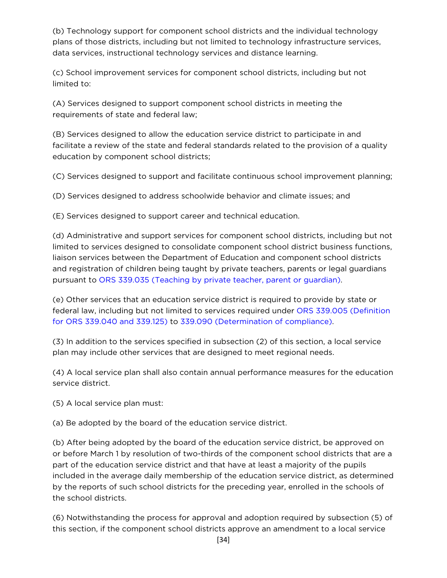(b) Technology support for component school districts and the individual technology plans of those districts, including but not limited to technology infrastructure services, data services, instructional technology services and distance learning.

(c) School improvement services for component school districts, including but not limited to:

(A) Services designed to support component school districts in meeting the requirements of state and federal law;

(B) Services designed to allow the education service district to participate in and facilitate a review of the state and federal standards related to the provision of a quality education by component school districts;

(C) Services designed to support and facilitate continuous school improvement planning;

(D) Services designed to address schoolwide behavior and climate issues; and

(E) Services designed to support career and technical education.

(d) Administrative and support services for component school districts, including but not limited to services designed to consolidate component school district business functions, liaison services between the Department of Education and component school districts and registration of children being taught by private teachers, parents or legal guardians pursuant to ORS 339.035 (Teaching by private teacher, parent or guardian).

(e) Other services that an education service district is required to provide by state or federal law, including but not limited to services required under ORS 339.005 (Definition for ORS 339.040 and 339.125) to 339.090 (Determination of compliance).

(3) In addition to the services specified in subsection (2) of this section, a local service plan may include other services that are designed to meet regional needs.

(4) A local service plan shall also contain annual performance measures for the education service district.

(5) A local service plan must:

(a) Be adopted by the board of the education service district.

(b) After being adopted by the board of the education service district, be approved on or before March 1 by resolution of two-thirds of the component school districts that are a part of the education service district and that have at least a majority of the pupils included in the average daily membership of the education service district, as determined by the reports of such school districts for the preceding year, enrolled in the schools of the school districts.

(6) Notwithstanding the process for approval and adoption required by subsection (5) of this section, if the component school districts approve an amendment to a local service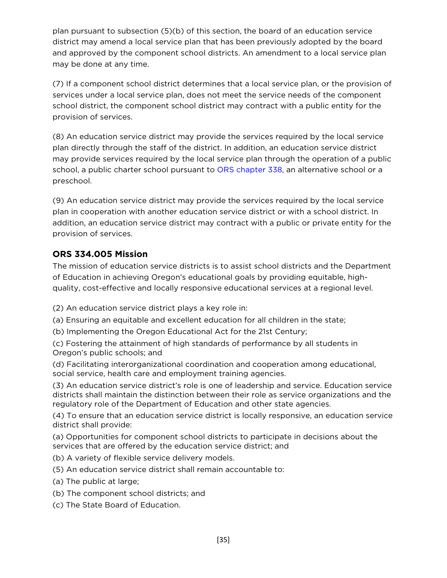plan pursuant to subsection (5)(b) of this section, the board of an education service district may amend a local service plan that has been previously adopted by the board and approved by the component school districts. An amendment to a local service plan may be done at any time.

(7) If a component school district determines that a local service plan, or the provision of services under a local service plan, does not meet the service needs of the component school district, the component school district may contract with a public entity for the provision of services.

(8) An education service district may provide the services required by the local service plan directly through the staff of the district. In addition, an education service district may provide services required by the local service plan through the operation of a public school, a public charter school pursuant to ORS chapter 338, an alternative school or a preschool.

(9) An education service district may provide the services required by the local service plan in cooperation with another education service district or with a school district. In addition, an education service district may contract with a public or private entity for the provision of services.

#### **ORS 334.005 Mission**

The mission of education service districts is to assist school districts and the Department of Education in achieving Oregon's educational goals by providing equitable, highquality, cost-effective and locally responsive educational services at a regional level.

- (2) An education service district plays a key role in:
- (a) Ensuring an equitable and excellent education for all children in the state;
- (b) Implementing the Oregon Educational Act for the 21st Century;
- (c) Fostering the attainment of high standards of performance by all students in Oregon's public schools; and
- (d) Facilitating interorganizational coordination and cooperation among educational, social service, health care and employment training agencies.

(3) An education service district's role is one of leadership and service. Education service districts shall maintain the distinction between their role as service organizations and the regulatory role of the Department of Education and other state agencies.

(4) To ensure that an education service district is locally responsive, an education service district shall provide:

(a) Opportunities for component school districts to participate in decisions about the services that are offered by the education service district; and

(b) A variety of flexible service delivery models.

- (5) An education service district shall remain accountable to:
- (a) The public at large;
- (b) The component school districts; and
- (c) The State Board of Education.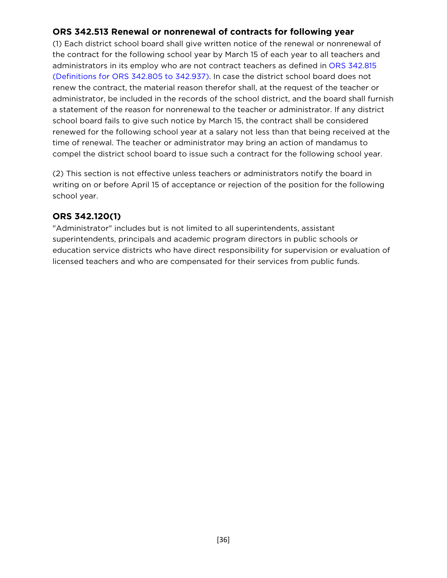#### **ORS 342.513 Renewal or nonrenewal of contracts for following year**

(1) Each district school board shall give written notice of the renewal or nonrenewal of the contract for the following school year by March 15 of each year to all teachers and administrators in its employ who are not contract teachers as defined in ORS 342.815 (Definitions for ORS 342.805 to 342.937). In case the district school board does not renew the contract, the material reason therefor shall, at the request of the teacher or administrator, be included in the records of the school district, and the board shall furnish a statement of the reason for nonrenewal to the teacher or administrator. If any district school board fails to give such notice by March 15, the contract shall be considered renewed for the following school year at a salary not less than that being received at the time of renewal. The teacher or administrator may bring an action of mandamus to compel the district school board to issue such a contract for the following school year.

(2) This section is not effective unless teachers or administrators notify the board in writing on or before April 15 of acceptance or rejection of the position for the following school year.

#### **ORS 342.120(1)**

"Administrator" includes but is not limited to all superintendents, assistant superintendents, principals and academic program directors in public schools or education service districts who have direct responsibility for supervision or evaluation of licensed teachers and who are compensated for their services from public funds.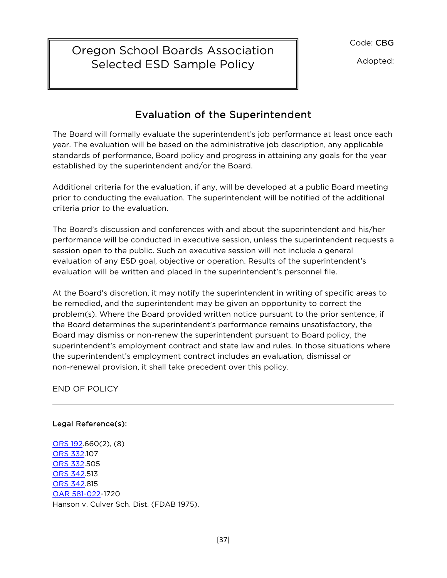Code: CBG

Selected ESD Sample Policy  $\|\cdot\|$  Adopted: Oregon School Boards Association

### Evaluation of the Superintendent

٦

The Board will formally evaluate the superintendent's job performance at least once each year. The evaluation will be based on the administrative job description, any applicable standards of performance, Board policy and progress in attaining any goals for the year established by the superintendent and/or the Board.

Additional criteria for the evaluation, if any, will be developed at a public Board meeting prior to conducting the evaluation. The superintendent will be notified of the additional criteria prior to the evaluation.

The Board's discussion and conferences with and about the superintendent and his/her performance will be conducted in executive session, unless the superintendent requests a session open to the public. Such an executive session will not include a general evaluation of any ESD goal, objective or operation. Results of the superintendent's evaluation will be written and placed in the superintendent's personnel file.

At the Board's discretion, it may notify the superintendent in writing of specific areas to be remedied, and the superintendent may be given an opportunity to correct the problem(s). Where the Board provided written notice pursuant to the prior sentence, if the Board determines the superintendent's performance remains unsatisfactory, the Board may dismiss or non-renew the superintendent pursuant to Board policy, the superintendent's employment contract and state law and rules. In those situations where the superintendent's employment contract includes an evaluation, dismissal or non-renewal provision, it shall take precedent over this policy.

END OF POLICY

#### Legal Reference(s):

ORS 192.660(2), (8) ORS 332.107 ORS 332.505 ORS 342.513 ORS 342.815 OAR 581-022-1720 Hanson v. Culver Sch. Dist. (FDAB 1975).